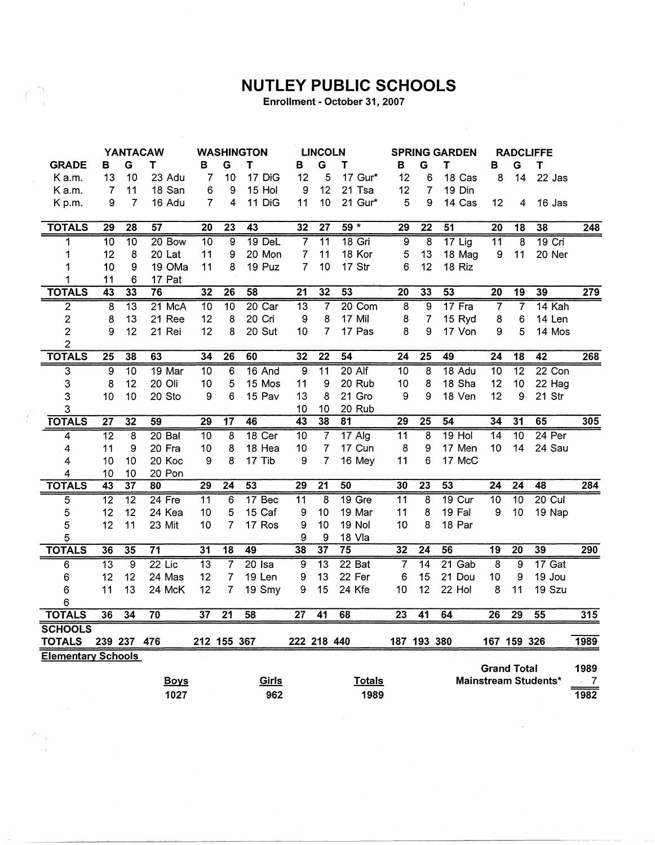## **NUTLEY PUBLIC SCHOOLS**

 $\perp$ 

Enrollment - October 31, 2007

الي.

 $\sim 10^{-10}$ 

| <b>YANTACAW</b>           |                 | <b>WASHINGTON</b> |                 |                 | <b>LINCOLN</b>  |                 | <b>SPRING GARDEN</b> |                  |                 |                 | <b>RADCLIFFE</b>        |                 |                         |                  |                      |          |
|---------------------------|-----------------|-------------------|-----------------|-----------------|-----------------|-----------------|----------------------|------------------|-----------------|-----------------|-------------------------|-----------------|-------------------------|------------------|----------------------|----------|
| <b>GRADE</b>              | в               | G                 | т               | в               | G               | т               | в                    | G                | т               | В               | G                       | т               | в                       | G                | Τ                    |          |
| Ka.m.                     | 13              | 10                | 23 Adu          | 7               | 10              | 17 DiG          | 12                   | 5                | 17 Gur*         | 12              | 6                       | 18 Cas          | 8                       | 14               | 22 Jas               |          |
| K a.m.                    | $\overline{7}$  | 11                | 18 San          | 6               | 9               | 15 Hol          | 9                    | 12               | 21 Tsa          | 12              | $\overline{7}$          | 19 Din          |                         |                  |                      |          |
| K p.m.                    | 9               | $\overline{7}$    | 16 Adu          | $\overline{7}$  | 4               | 11 DiG          | 11                   | 10               | 21 Gur*         | 5               | 9                       | 14 Cas          | 12                      | 4                | 16 Jas               |          |
|                           |                 |                   |                 |                 |                 |                 |                      |                  |                 |                 |                         |                 |                         |                  |                      |          |
| <b>TOTALS</b>             | 29              | 28                | 57              | 20              | 23              | 43              | 32                   | $\overline{27}$  | $59 *$          | 29              | $\overline{22}$         | $\overline{51}$ | $\overline{20}$         | $\overline{18}$  | 38                   | 248      |
| 1                         | 10              | $\overline{10}$   | $20$ Bow        | 10              | 9               | $19$ DeL        | $\overline{7}$       | $\overline{11}$  | $18$ Gri        | $\overline{9}$  | $\overline{\mathbf{8}}$ | $17$ Lig        | 11                      | $\overline{8}$   | $19$ Cri             |          |
|                           | 12              | $\bf8$            | 20 Lat          | 11              | 9               | 20 Mon          | 7                    | 11               | 18 Kor          | $\mathbf 5$     | 13                      | 18 Mag          | 9                       | 11               | 20 Ner               |          |
|                           | 10              | 9                 | 19 OMa          | 11              | 8               | 19 Puz          | $\overline{7}$       | 10               | 17 Str          | 6               | 12                      | 18 Riz          |                         |                  |                      |          |
|                           | 11              | 6                 | 17 Pat          |                 |                 |                 |                      |                  |                 |                 |                         |                 |                         |                  |                      |          |
| <b>TOTALS</b>             | 43              | $\overline{33}$   | 76              | 32              | 26              | 58              | 21                   | 32               | 53              | 20              | 33                      | 53              | $\overline{20}$         | 19               | 39                   | 279      |
| $\overline{2}$            | 8               | $\overline{13}$   | 21 McA          | 10              | 10              | $20$ Car        | $\overline{13}$      | $\overline{7}$   | 20 Com          | $\overline{8}$  | $\overline{9}$          | $17$ Fra        | $\overline{7}$          | $\overline{7}$   | 14 Kah               |          |
| $\overline{\mathbf{c}}$   | 8               | 13                | 21 Ree          | 12              | 8               | 20 Cri          | 9                    | 8                | 17 Mil          | 8               | $\overline{7}$          | 15 Ryd          | 8                       | 6                | 14 Len               |          |
| $\overline{c}$            | 9               | 12                | 21 Rei          | 12              | 8               | 20 Sut          | 10                   | $\overline{7}$   | 17 Pas          | 8               | 9                       | 17 Von          | 9                       | 5                | 14 Mos               |          |
| $\overline{2}$            |                 |                   |                 |                 |                 |                 |                      |                  |                 |                 |                         |                 |                         |                  |                      |          |
| <b>TOTALS</b>             | 25              | 38                | 63              | 34              | 26              | 60              | 32                   | $\overline{22}$  | $\overline{54}$ | 24              | 25                      | 49              | $\overline{24}$         | 18               | 42                   | 268      |
| 3                         | 9               | $\overline{10}$   | 19 Mar          | 10              | $6\phantom{1}6$ | 16 And          | 9                    | $\overline{11}$  | $20$ Alf        | $\overline{10}$ | $\overline{\mathbf{8}}$ | 18 Adu          | 10                      | $\overline{12}$  | $22$ Con             |          |
| 3                         | 8               | 12                | 20 Oli          | 10              | 5               | 15 Mos          | 11                   | 9                | 20 Rub          | 10              | 8                       | 18 Sha          | 12                      | 10               | 22 Hag               |          |
| 3                         | 10              | 10                | 20 Sto          | 9               | 6               | 15 Pav          | 13                   | 8                | 21 Gro          | 9               | 9                       | 18 Ven          | 12                      | $\boldsymbol{9}$ | 21 Str               |          |
| 3                         |                 |                   |                 |                 |                 |                 | 10                   | 10               | 20 Rub          |                 |                         |                 |                         |                  |                      |          |
| <b>TOTALS</b>             | $\overline{27}$ | 32                | 59              | 29              | $\overline{17}$ | 46              | 43                   | $\overline{38}$  | 81              | 29              | 25                      | 54              | 34                      | 31               | 65                   | 305      |
| 4                         | $\overline{12}$ | 8                 | $20$ Bal        | $\overline{10}$ | $\overline{8}$  | 18 Cer          | $\overline{10}$      | $\overline{7}$   | 17 Alg          | $\overline{11}$ | $\overline{\mathbf{8}}$ | $19$ Hol        | $\overline{14}$         | $\overline{10}$  | $24$ Per             |          |
| 4                         | 11              | 9                 | 20 Fra          | 10              | 8               | 18 Hea          | 10                   | $\overline{7}$   | 17 Cun          | 8               | 9                       | 17 Men          | 10                      | 14               | 24 Sau               |          |
| 4                         | 10              | 10                | 20 Koc          | 9               | 8               | 17 Tib          | 9                    | $\overline{7}$   | 16 Mey          | 11              | 6                       | 17 McC          |                         |                  |                      |          |
| 4                         | 10              | 10                | 20 Pon          |                 |                 |                 |                      |                  |                 |                 |                         |                 |                         |                  |                      |          |
| <b>TOTALS</b>             | 43              | $\overline{37}$   | 80              | $\overline{29}$ | $\overline{24}$ | $\overline{53}$ | $\overline{29}$      | $\overline{21}$  | 50              | 30              | 23                      | 53              | $\overline{24}$         | $\overline{24}$  | 48                   | 284      |
| 5                         | $\overline{12}$ | $\overline{12}$   | $24$ Fre        | $\overline{11}$ | $6\overline{6}$ | 17 Bec          | $\overline{11}$      | $\overline{8}$   | $19$ Gre        | $\overline{11}$ | $\overline{8}$          | 19 Cur          | $\overline{10}$         | $\overline{10}$  | $20$ Cul             |          |
| 5                         | 12              | 12                | 24 Kea          | 10              | 5               | 15 Caf          | 9                    | 10               | 19 Mar          | 11              | 8                       | 19 Fal          | $\boldsymbol{9}$        | 10               | 19 Nap               |          |
| 5                         | 12              | 11                | 23 Mit          | 10              | 7               | 17 Ros          | 9                    | 10               | 19 Nol          | 10              | 8                       | 18 Par          |                         |                  |                      |          |
| 5                         |                 |                   |                 |                 |                 |                 | 9                    | $\boldsymbol{9}$ | 18 Vla          |                 |                         |                 |                         |                  |                      |          |
| <b>TOTALS</b>             | 36              | 35                | $\overline{71}$ | 31              | $\overline{18}$ | 49              | 38                   | $\overline{37}$  | 75              | $\overline{32}$ | $\overline{24}$         | 56              | 19                      | 20               | 39                   | 290      |
| 6                         | $\overline{13}$ | $\overline{9}$    | $22$ Lic        | $\overline{13}$ | 7               | $20$ Isa        | 9                    | $\overline{13}$  | 22 Bat          | 7               | $\overline{14}$         | $21$ Gab        | $\overline{\mathbf{8}}$ | $\overline{9}$   | 17 Gat               |          |
| 6                         | 12              | 12                | 24 Mas          | 12              | 7               | 19 Len          | 9                    | 13               | 22 Fer          | 6               | 15                      | 21 Dou          | 10                      | 9                | 19 Jou               |          |
| 6                         | 11              | 13                | 24 McK          | 12              | 7               | 19 Smy          | 9                    | 15               | 24 Kfe          | 10              | 12                      | 22 Hol          | 8                       | 11               | 19 Szu               |          |
| 6                         |                 |                   |                 |                 |                 |                 |                      |                  |                 |                 |                         |                 |                         |                  |                      |          |
| <b>TOTALS</b>             | 36              | 34                | $\overline{70}$ | $\overline{37}$ | $\overline{21}$ | 58              | $\overline{27}$      | 41               | 68              | 23              | 41                      | 64              | $\overline{26}$         | $\overline{29}$  | 55                   | 315      |
| <b>SCHOOLS</b>            |                 |                   |                 |                 |                 |                 |                      |                  |                 |                 |                         |                 |                         |                  |                      |          |
| <b>TOTALS</b>             |                 | 239 237 476       |                 |                 | 212 155 367     |                 | 222 218 440          |                  |                 |                 | 187 193 380             |                 |                         | 167 159 326      |                      | 1989     |
| <b>Elementary Schools</b> |                 |                   |                 |                 |                 |                 |                      |                  |                 |                 |                         |                 |                         |                  |                      |          |
|                           |                 |                   |                 |                 |                 |                 |                      |                  |                 |                 |                         |                 | <b>Grand Total</b>      |                  |                      | 1989     |
|                           |                 |                   | <b>Boys</b>     |                 |                 | Girls           |                      |                  | <b>Totals</b>   |                 |                         |                 |                         |                  | Mainstream Students* | $\sim 7$ |
|                           |                 |                   | 1027            |                 |                 | 962             |                      |                  | 1989            |                 |                         |                 |                         |                  |                      | 1982     |